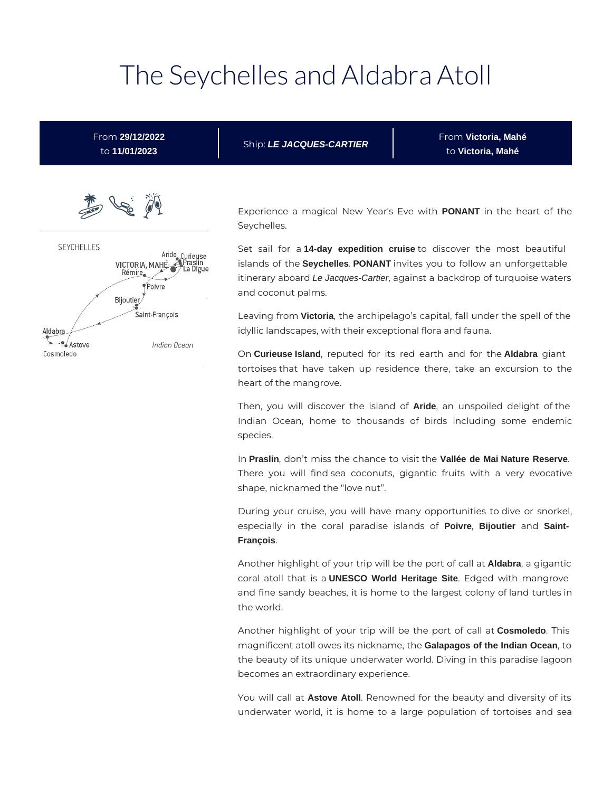# The Seychelles and Aldabra Atoll



Then, you will discover the island of **Aride**, an unspoiled delight of the Indian Ocean, home to thousands of birds including some endemic species.

In **Praslin**, don't miss the chance to visit the **Vallée de Mai Nature Reserve**. There you will find sea coconuts, gigantic fruits with a very evocative shape, nicknamed the "love nut".

During your cruise, you will have many opportunities to dive or snorkel, especially in the coral paradise islands of **Poivre**, **Bijoutier** and **Saint-François**.

Another highlight of your trip will be the port of call at **Aldabra**, a gigantic coral atoll that is a **UNESCO World Heritage Site**. Edged with mangrove and fine sandy beaches, it is home to the largest colony of land turtles in the world.

Another highlight of your trip will be the port of call at **Cosmoledo**. This magnificent atoll owes its nickname, the **Galapagos of the Indian Ocean**, to the beauty of its unique underwater world. Diving in this paradise lagoon becomes an extraordinary experience.

You will call at **Astove Atoll**. Renowned for the beauty and diversity of its underwater world, it is home to a large population of tortoises and sea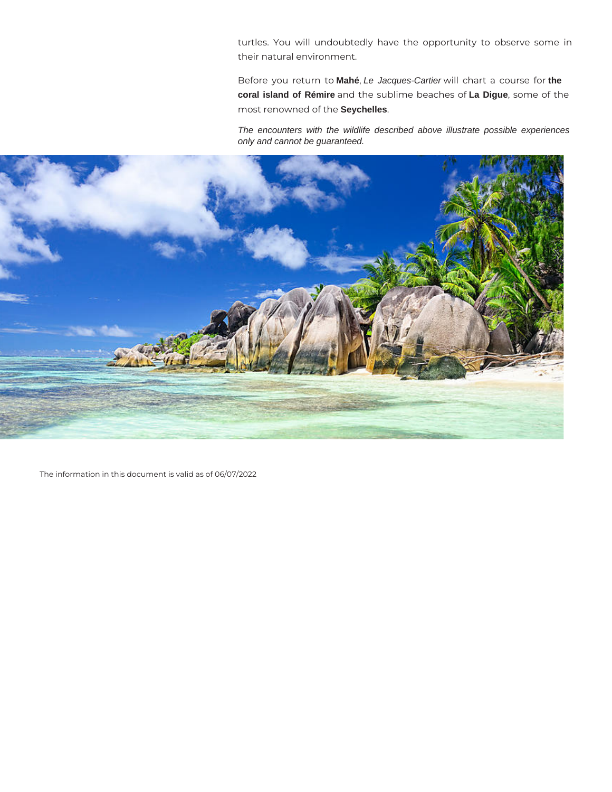turtles. You will undoubtedly have the opportunity to observe some in their natural environment.

Before you return to **Mahé**, Le Jacques-Cartier will chart a course for **the coral island of Rémire** and the sublime beaches of **La Digue**, some of the most renowned of the **Seychelles**.

The encounters with the wildlife described above illustrate possible experiences only and cannot be guaranteed.



The information in this document is valid as of 06/07/2022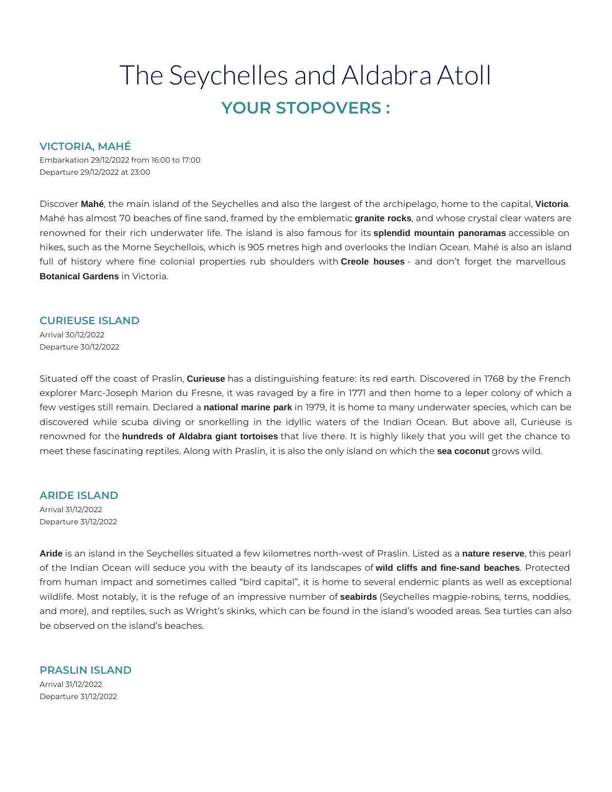## The Seychelles and Aldabra Atoll **YOUR STOPOVERS :**

#### **VICTORIA, MAHÉ**

Embarkation 29/12/2022 from 16:00 to 17:00 Departure 29/12/2022 at 23:00

Discover **Mahé**, the main island of the Seychelles and also the largest of the archipelago, home to the capital, **Victoria**. Mahé has almost 70 beaches of fine sand, framed by the emblematic **granite rocks**, and whose crystal clear waters are renowned for their rich underwater life. The island is also famous for its **splendid mountain panoramas** accessible on hikes, such as the Morne Seychellois, which is 905 metres high and overlooks the Indian Ocean. Mahé is also an island full of history where fine colonial properties rub shoulders with **Creole houses** - and don't forget the marvellous **Botanical Gardens** in Victoria.

#### **CURIEUSE ISLAND**

Arrival 30/12/2022 Departure 30/12/2022

Situated off the coast of Praslin, **Curieuse** has a distinguishing feature: its red earth. Discovered in 1768 by the French explorer Marc-Joseph Marion du Fresne, it was ravaged by a fire in 1771 and then home to a leper colony of which a few vestiges still remain. Declared a **national marine park** in 1979, it is home to many underwater species, which can be discovered while scuba diving or snorkelling in the idyllic waters of the Indian Ocean. But above all, Curieuse is renowned for the **hundreds of Aldabra giant tortoises** that live there. It is highly likely that you will get the chance to meet these fascinating reptiles. Along with Praslin, it is also the only island on which the **sea coconut** grows wild.

### **ARIDE ISLAND**

Arrival 31/12/2022 Departure 31/12/2022

**Aride** is an island in the Seychelles situated a few kilometres north-west of Praslin. Listed as a **nature reserve**, this pearl of the Indian Ocean will seduce you with the beauty of its landscapes of **wild cliffs and fine-sand beaches**. Protected from human impact and sometimes called "bird capital", it is home to several endemic plants as well as exceptional wildlife. Most notably, it is the refuge of an impressive number of **seabirds** (Seychelles magpie-robins, terns, noddies, and more), and reptiles, such as Wright's skinks, which can be found in the island's wooded areas. Sea turtles can also be observed on the island's beaches.

**PRASLIN ISLAND**  Arrival 31/12/2022 Departure 31/12/2022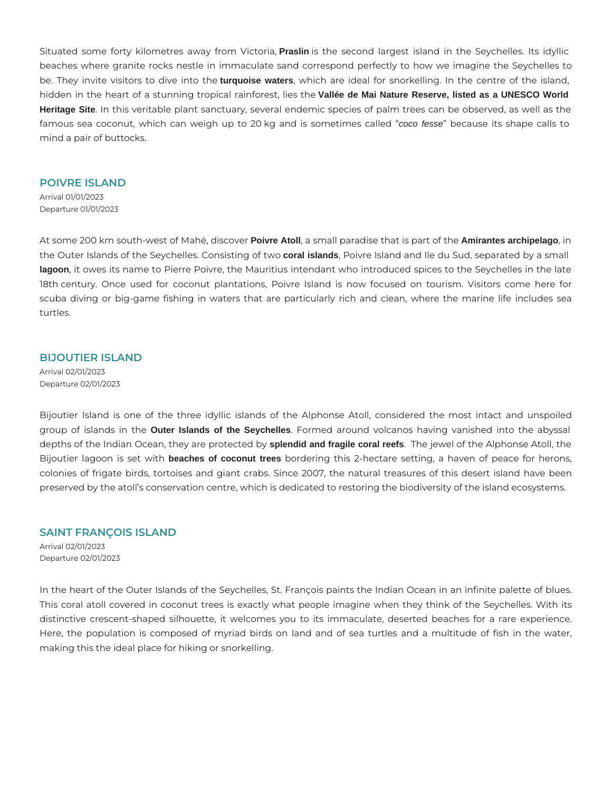Situated some forty kilometres away from Victoria, **Praslin** is the second largest island in the Seychelles. Its idyllic beaches where granite rocks nestle in immaculate sand correspond perfectly to how we imagine the Seychelles to be. They invite visitors to dive into the **turquoise waters**, which are ideal for snorkelling. In the centre of the island, hidden in the heart of a stunning tropical rainforest, lies the **Vallée de Mai Nature Reserve, listed as a UNESCO World Heritage Site**. In this veritable plant sanctuary, several endemic species of palm trees can be observed, as well as the famous sea coconut, which can weigh up to 20 kg and is sometimes called "coco fesse" because its shape calls to mind a pair of buttocks.

#### **POIVRE ISLAND**

Arrival 01/01/2023 Departure 01/01/2023

At some 200 km south-west of Mahé, discover **Poivre Atoll**, a small paradise that is part of the **Amirantes archipelago**, in the Outer Islands of the Seychelles. Consisting of two **coral islands**, Poivre Island and Ile du Sud, separated by a small **lagoon**, it owes its name to Pierre Poivre, the Mauritius intendant who introduced spices to the Seychelles in the late 18th century. Once used for coconut plantations, Poivre Island is now focused on tourism. Visitors come here for scuba diving or big-game fishing in waters that are particularly rich and clean, where the marine life includes sea turtles.

#### **BIJOUTIER ISLAND**

Arrival 02/01/2023 Departure 02/01/2023

Bijoutier Island is one of the three idyllic islands of the Alphonse Atoll, considered the most intact and unspoiled group of islands in the **Outer Islands of the Seychelles**. Formed around volcanos having vanished into the abyssal depths of the Indian Ocean, they are protected by **splendid and fragile coral reefs**. The jewel of the Alphonse Atoll, the Bijoutier lagoon is set with **beaches of coconut trees** bordering this 2-hectare setting, a haven of peace for herons, colonies of frigate birds, tortoises and giant crabs. Since 2007, the natural treasures of this desert island have been preserved by the atoll's conservation centre, which is dedicated to restoring the biodiversity of the island ecosystems.

#### **SAINT FRANÇOIS ISLAND**

Arrival 02/01/2023 Departure 02/01/2023

In the heart of the Outer Islands of the Seychelles, St. François paints the Indian Ocean in an infinite palette of blues. This coral atoll covered in coconut trees is exactly what people imagine when they think of the Seychelles. With its distinctive crescent-shaped silhouette, it welcomes you to its immaculate, deserted beaches for a rare experience. Here, the population is composed of myriad birds on land and of sea turtles and a multitude of fish in the water, making this the ideal place for hiking or snorkelling.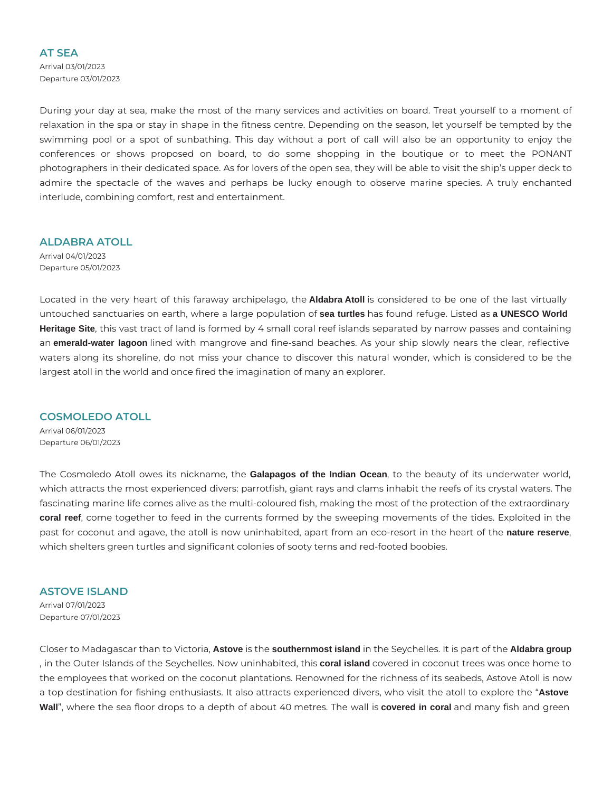#### **AT SEA**

Arrival 03/01/2023 Departure 03/01/2023

During your day at sea, make the most of the many services and activities on board. Treat yourself to a moment of relaxation in the spa or stay in shape in the fitness centre. Depending on the season, let yourself be tempted by the swimming pool or a spot of sunbathing. This day without a port of call will also be an opportunity to enjoy the conferences or shows proposed on board, to do some shopping in the boutique or to meet the PONANT photographers in their dedicated space. As for lovers of the open sea, they will be able to visit the ship's upper deck to admire the spectacle of the waves and perhaps be lucky enough to observe marine species. A truly enchanted interlude, combining comfort, rest and entertainment.

**ALDABRA ATOLL** 

Arrival 04/01/2023 Departure 05/01/2023

Located in the very heart of this faraway archipelago, the **Aldabra Atoll** is considered to be one of the last virtually untouched sanctuaries on earth, where a large population of **sea turtles** has found refuge. Listed as **a UNESCO World Heritage Site**, this vast tract of land is formed by 4 small coral reef islands separated by narrow passes and containing an **emerald-water lagoon** lined with mangrove and fine-sand beaches. As your ship slowly nears the clear, reflective waters along its shoreline, do not miss your chance to discover this natural wonder, which is considered to be the largest atoll in the world and once fired the imagination of many an explorer.

#### **COSMOLEDO ATOLL**

Arrival 06/01/2023 Departure 06/01/2023

The Cosmoledo Atoll owes its nickname, the **Galapagos of the Indian Ocean**, to the beauty of its underwater world, which attracts the most experienced divers: parrotfish, giant rays and clams inhabit the reefs of its crystal waters. The fascinating marine life comes alive as the multi-coloured fish, making the most of the protection of the extraordinary **coral reef**, come together to feed in the currents formed by the sweeping movements of the tides. Exploited in the past for coconut and agave, the atoll is now uninhabited, apart from an eco-resort in the heart of the **nature reserve**, which shelters green turtles and significant colonies of sooty terns and red-footed boobies.

### **ASTOVE ISLAND**

Arrival 07/01/2023 Departure 07/01/2023

Closer to Madagascar than to Victoria, **Astove** is the **southernmost island** in the Seychelles. It is part of the **Aldabra group** , in the Outer Islands of the Seychelles. Now uninhabited, this **coral island** covered in coconut trees was once home to the employees that worked on the coconut plantations. Renowned for the richness of its seabeds, Astove Atoll is now a top destination for fishing enthusiasts. It also attracts experienced divers, who visit the atoll to explore the "**Astove Wall**", where the sea floor drops to a depth of about 40 metres. The wall is **covered in coral** and many fish and green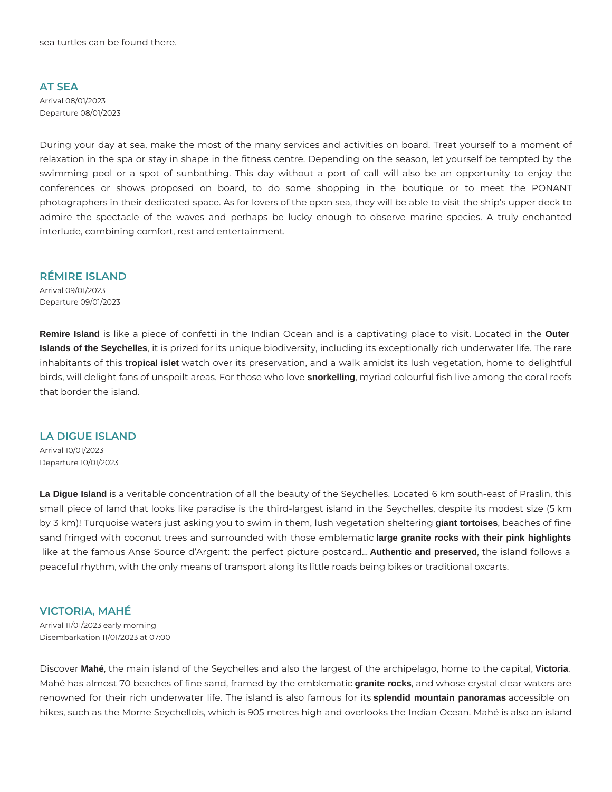#### **AT SEA**

Arrival 08/01/2023 Departure 08/01/2023

During your day at sea, make the most of the many services and activities on board. Treat yourself to a moment of relaxation in the spa or stay in shape in the fitness centre. Depending on the season, let yourself be tempted by the swimming pool or a spot of sunbathing. This day without a port of call will also be an opportunity to enjoy the conferences or shows proposed on board, to do some shopping in the boutique or to meet the PONANT photographers in their dedicated space. As for lovers of the open sea, they will be able to visit the ship's upper deck to admire the spectacle of the waves and perhaps be lucky enough to observe marine species. A truly enchanted interlude, combining comfort, rest and entertainment.

#### **RÉMIRE ISLAND**

Arrival 09/01/2023 Departure 09/01/2023

**Remire Island** is like a piece of confetti in the Indian Ocean and is a captivating place to visit. Located in the **Outer Islands of the Seychelles**, it is prized for its unique biodiversity, including its exceptionally rich underwater life. The rare inhabitants of this **tropical islet** watch over its preservation, and a walk amidst its lush vegetation, home to delightful birds, will delight fans of unspoilt areas. For those who love **snorkelling**, myriad colourful fish live among the coral reefs that border the island.

**LA DIGUE ISLAND**  Arrival 10/01/2023 Departure 10/01/2023

**La Digue Island** is a veritable concentration of all the beauty of the Seychelles. Located 6 km south-east of Praslin, this small piece of land that looks like paradise is the third-largest island in the Seychelles, despite its modest size (5 km by 3 km)! Turquoise waters just asking you to swim in them, lush vegetation sheltering **giant tortoises**, beaches of fine sand fringed with coconut trees and surrounded with those emblematic **large granite rocks with their pink highlights** like at the famous Anse Source d'Argent: the perfect picture postcard… **Authentic and preserved**, the island follows a peaceful rhythm, with the only means of transport along its little roads being bikes or traditional oxcarts.

#### **VICTORIA, MAHÉ**

Arrival 11/01/2023 early morning Disembarkation 11/01/2023 at 07:00

Discover **Mahé**, the main island of the Seychelles and also the largest of the archipelago, home to the capital, **Victoria**. Mahé has almost 70 beaches of fine sand, framed by the emblematic **granite rocks**, and whose crystal clear waters are renowned for their rich underwater life. The island is also famous for its **splendid mountain panoramas** accessible on hikes, such as the Morne Seychellois, which is 905 metres high and overlooks the Indian Ocean. Mahé is also an island